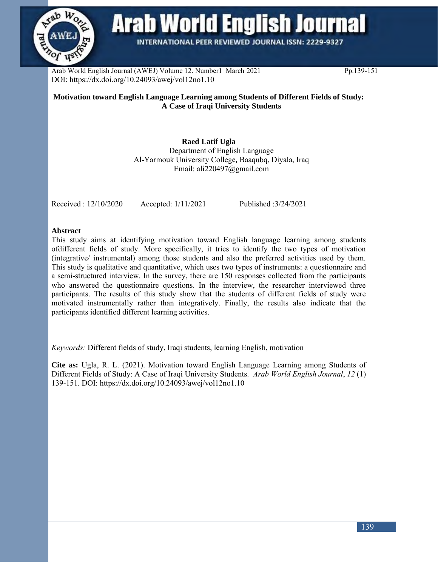

**Arab World English Journal** 

**INTERNATIONAL PEER REVIEWED JOURNAL ISSN: 2229-9327** 

Arab World English Journal (AWEJ) Volume 12. Number1 March 2021 Pp.139-151 DOI: https://dx.doi.org/10.24093/awej/vol12no1.10

### **Motivation toward English Language Learning among Students of Different Fields of Study: A Case of Iraqi University Students**

**Raed Latif Ugla** Department of English Language Al-Yarmouk University College**,** Baaqubq, Diyala, Iraq Email: ali220497@gmail.com

Received : 12/10/2020 Accepted: 1/11/2021 Published :3/24/2021

#### **Abstract**

This study aims at identifying motivation toward English language learning among students ofdifferent fields of study. More specifically, it tries to identify the two types of motivation (integrative/ instrumental) among those students and also the preferred activities used by them. This study is qualitative and quantitative, which uses two types of instruments: a questionnaire and a semi-structured interview. In the survey, there are 150 responses collected from the participants who answered the questionnaire questions. In the interview, the researcher interviewed three participants. The results of this study show that the students of different fields of study were motivated instrumentally rather than integratively. Finally, the results also indicate that the participants identified different learning activities.

*Keywords:* Different fields of study, Iraqi students, learning English, motivation

**Cite as:** Ugla, R. L. (2021). Motivation toward English Language Learning among Students of Different Fields of Study: A Case of Iraqi University Students. *Arab World English Journal*, *12* (1) 139-151. DOI: https://dx.doi.org/10.24093/awej/vol12no1.10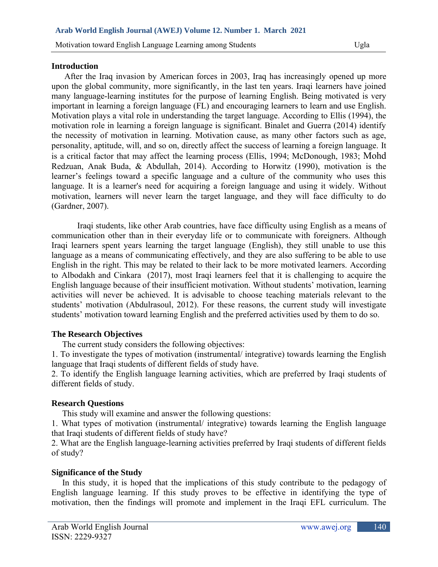#### **Introduction**

 After the Iraq invasion by American forces in 2003, Iraq has increasingly opened up more upon the global community, more significantly, in the last ten years. Iraqi learners have joined many language-learning institutes for the purpose of learning English. Being motivated is very important in learning a foreign language (FL) and encouraging learners to learn and use English. Motivation plays a vital role in understanding the target language. According to Ellis (1994), the motivation role in learning a foreign language is significant. Binalet and Guerra (2014) identify the necessity of motivation in learning. Motivation cause, as many other factors such as age, personality, aptitude, will, and so on, directly affect the success of learning a foreign language. It is a critical factor that may affect the learning process (Ellis, 1994; McDonough, 1983; Mohd Redzuan, Anak Buda, & Abdullah, 2014). According to Horwitz (1990), motivation is the learner's feelings toward a specific language and a culture of the community who uses this language. It is a learner's need for acquiring a foreign language and using it widely. Without motivation, learners will never learn the target language, and they will face difficulty to do (Gardner, 2007).

Iraqi students, like other Arab countries, have face difficulty using English as a means of communication other than in their everyday life or to communicate with foreigners. Although Iraqi learners spent years learning the target language (English), they still unable to use this language as a means of communicating effectively, and they are also suffering to be able to use English in the right. This may be related to their lack to be more motivated learners. According to Albodakh and Cinkara (2017), most Iraqi learners feel that it is challenging to acquire the English language because of their insufficient motivation. Without students' motivation, learning activities will never be achieved. It is advisable to choose teaching materials relevant to the students' motivation (Abdulrasoul, 2012). For these reasons, the current study will investigate students' motivation toward learning English and the preferred activities used by them to do so.

### **The Research Objectives**

The current study considers the following objectives:

1. To investigate the types of motivation (instrumental/ integrative) towards learning the English language that Iraqi students of different fields of study have.

2. To identify the English language learning activities, which are preferred by Iraqi students of different fields of study.

### **Research Questions**

This study will examine and answer the following questions:

1. What types of motivation (instrumental/ integrative) towards learning the English language that Iraqi students of different fields of study have?

2. What are the English language-learning activities preferred by Iraqi students of different fields of study?

### **Significance of the Study**

 In this study, it is hoped that the implications of this study contribute to the pedagogy of English language learning. If this study proves to be effective in identifying the type of motivation, then the findings will promote and implement in the Iraqi EFL curriculum. The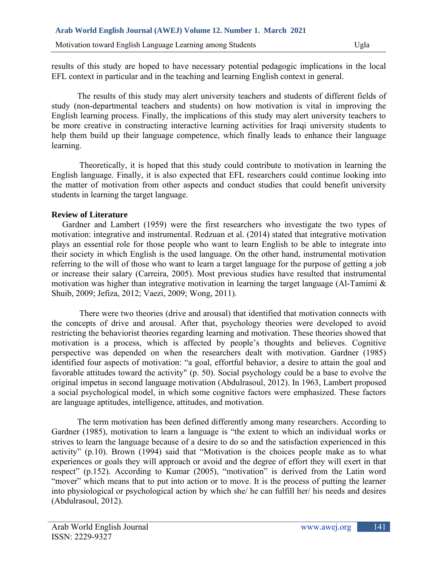results of this study are hoped to have necessary potential pedagogic implications in the local EFL context in particular and in the teaching and learning English context in general.

 The results of this study may alert university teachers and students of different fields of study (non-departmental teachers and students) on how motivation is vital in improving the English learning process. Finally, the implications of this study may alert university teachers to be more creative in constructing interactive learning activities for Iraqi university students to help them build up their language competence, which finally leads to enhance their language learning.

 Theoretically, it is hoped that this study could contribute to motivation in learning the English language. Finally, it is also expected that EFL researchers could continue looking into the matter of motivation from other aspects and conduct studies that could benefit university students in learning the target language.

### **Review of Literature**

 Gardner and Lambert (1959) were the first researchers who investigate the two types of motivation: integrative and instrumental. Redzuan et al. (2014) stated that integrative motivation plays an essential role for those people who want to learn English to be able to integrate into their society in which English is the used language. On the other hand, instrumental motivation referring to the will of those who want to learn a target language for the purpose of getting a job or increase their salary (Carreira, 2005). Most previous studies have resulted that instrumental motivation was higher than integrative motivation in learning the target language (Al-Tamimi & Shuib, 2009; Jefiza, 2012; Vaezi, 2009; Wong, 2011).

 There were two theories (drive and arousal) that identified that motivation connects with the concepts of drive and arousal. After that, psychology theories were developed to avoid restricting the behaviorist theories regarding learning and motivation. These theories showed that motivation is a process, which is affected by people's thoughts and believes. Cognitive perspective was depended on when the researchers dealt with motivation. Gardner (1985) identified four aspects of motivation: "a goal, effortful behavior, a desire to attain the goal and favorable attitudes toward the activity" (p. 50). Social psychology could be a base to evolve the original impetus in second language motivation (Abdulrasoul, 2012). In 1963, Lambert proposed a social psychological model, in which some cognitive factors were emphasized. These factors are language aptitudes, intelligence, attitudes, and motivation.

 The term motivation has been defined differently among many researchers. According to Gardner (1985), motivation to learn a language is "the extent to which an individual works or strives to learn the language because of a desire to do so and the satisfaction experienced in this activity" (p.10). Brown (1994) said that "Motivation is the choices people make as to what experiences or goals they will approach or avoid and the degree of effort they will exert in that respect" (p.152). According to Kumar (2005), "motivation" is derived from the Latin word "mover" which means that to put into action or to move. It is the process of putting the learner into physiological or psychological action by which she/ he can fulfill her/ his needs and desires (Abdulrasoul, 2012).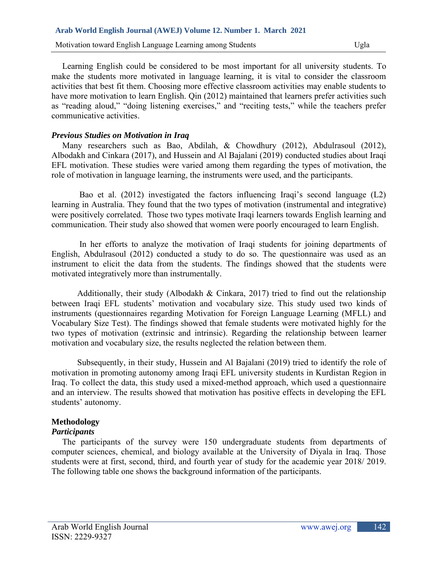Motivation toward English Language Learning among Students Ugla

 Learning English could be considered to be most important for all university students. To make the students more motivated in language learning, it is vital to consider the classroom activities that best fit them. Choosing more effective classroom activities may enable students to have more motivation to learn English. Qin (2012) maintained that learners prefer activities such as "reading aloud," "doing listening exercises," and "reciting tests," while the teachers prefer communicative activities.

#### *Previous Studies on Motivation in Iraq*

 Many researchers such as Bao, Abdilah, & Chowdhury (2012), Abdulrasoul (2012), Albodakh and Cinkara (2017), and Hussein and Al Bajalani (2019) conducted studies about Iraqi EFL motivation. These studies were varied among them regarding the types of motivation, the role of motivation in language learning, the instruments were used, and the participants.

 Bao et al. (2012) investigated the factors influencing Iraqi's second language (L2) learning in Australia. They found that the two types of motivation (instrumental and integrative) were positively correlated. Those two types motivate Iraqi learners towards English learning and communication. Their study also showed that women were poorly encouraged to learn English.

 In her efforts to analyze the motivation of Iraqi students for joining departments of English, Abdulrasoul (2012) conducted a study to do so. The questionnaire was used as an instrument to elicit the data from the students. The findings showed that the students were motivated integratively more than instrumentally.

 Additionally, their study (Albodakh & Cinkara, 2017) tried to find out the relationship between Iraqi EFL students' motivation and vocabulary size. This study used two kinds of instruments (questionnaires regarding Motivation for Foreign Language Learning (MFLL) and Vocabulary Size Test). The findings showed that female students were motivated highly for the two types of motivation (extrinsic and intrinsic). Regarding the relationship between learner motivation and vocabulary size, the results neglected the relation between them.

 Subsequently, in their study, Hussein and Al Bajalani (2019) tried to identify the role of motivation in promoting autonomy among Iraqi EFL university students in Kurdistan Region in Iraq. To collect the data, this study used a mixed-method approach, which used a questionnaire and an interview. The results showed that motivation has positive effects in developing the EFL students' autonomy.

### **Methodology**

## *Participants*

 The participants of the survey were 150 undergraduate students from departments of computer sciences, chemical, and biology available at the University of Diyala in Iraq. Those students were at first, second, third, and fourth year of study for the academic year 2018/ 2019. The following table one shows the background information of the participants.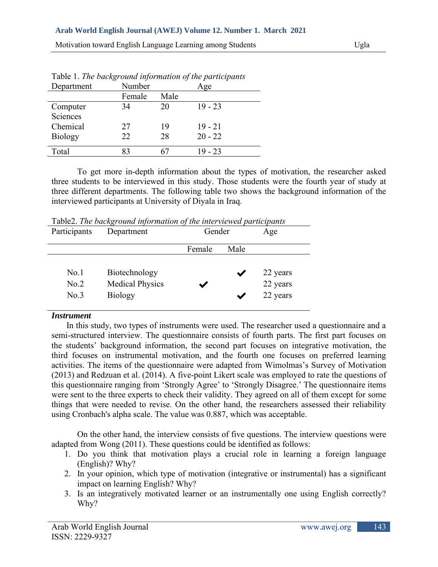Motivation toward English Language Learning among Students Ugla

| Department     | Number |      | Age       |
|----------------|--------|------|-----------|
|                | Female | Male |           |
| Computer       | 34     | 20   | $19 - 23$ |
| Sciences       |        |      |           |
| Chemical       | 27     | 19   | $19 - 21$ |
| <b>Biology</b> | 22     | 28   | $20 - 22$ |
|                |        |      |           |
| Total          | 83     |      | 19 - 23   |

Table 1. *The background information of the participants*

 To get more in-depth information about the types of motivation, the researcher asked three students to be interviewed in this study. Those students were the fourth year of study at three different departments. The following table two shows the background information of the interviewed participants at University of Diyala in Iraq.

|              |            | Table2. The background information of the interviewed participants |     |
|--------------|------------|--------------------------------------------------------------------|-----|
| Participants | Department | Gender                                                             | Age |

|      |                        | Female | Male |          |
|------|------------------------|--------|------|----------|
|      |                        |        |      |          |
| No.1 | Biotechnology          |        |      | 22 years |
| No.2 | <b>Medical Physics</b> |        |      | 22 years |
| No.3 | <b>Biology</b>         |        |      | 22 years |
|      |                        |        |      |          |

### *Instrument*

 In this study, two types of instruments were used. The researcher used a questionnaire and a semi-structured interview. The questionnaire consists of fourth parts. The first part focuses on the students' background information, the second part focuses on integrative motivation, the third focuses on instrumental motivation, and the fourth one focuses on preferred learning activities. The items of the questionnaire were adapted from Wimolmas's Survey of Motivation (2013) and Redzuan et al. (2014). A five-point Likert scale was employed to rate the questions of this questionnaire ranging from 'Strongly Agree' to 'Strongly Disagree.' The questionnaire items were sent to the three experts to check their validity. They agreed on all of them except for some things that were needed to revise. On the other hand, the researchers assessed their reliability using Cronbach's alpha scale. The value was 0.887, which was acceptable.

 On the other hand, the interview consists of five questions. The interview questions were adapted from Wong (2011). These questions could be identified as follows:

- 1. Do you think that motivation plays a crucial role in learning a foreign language (English)? Why?
- 2. In your opinion, which type of motivation (integrative or instrumental) has a significant impact on learning English? Why?
- 3. Is an integratively motivated learner or an instrumentally one using English correctly? Why?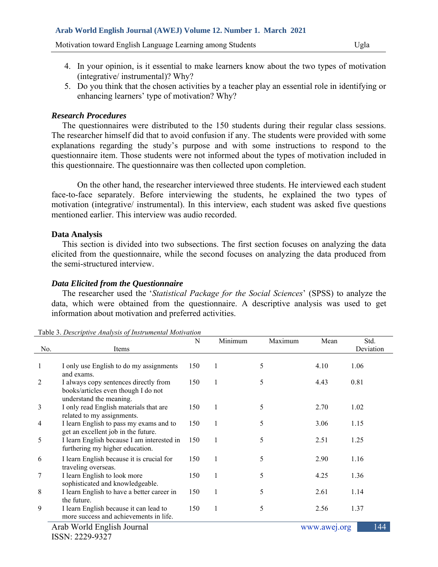Motivation toward English Language Learning among Students Ugla

- 4. In your opinion, is it essential to make learners know about the two types of motivation (integrative/ instrumental)? Why?
- 5. Do you think that the chosen activities by a teacher play an essential role in identifying or enhancing learners' type of motivation? Why?

#### *Research Procedures*

The questionnaires were distributed to the 150 students during their regular class sessions. The researcher himself did that to avoid confusion if any. The students were provided with some explanations regarding the study's purpose and with some instructions to respond to the questionnaire item. Those students were not informed about the types of motivation included in this questionnaire. The questionnaire was then collected upon completion.

 On the other hand, the researcher interviewed three students. He interviewed each student face-to-face separately. Before interviewing the students, he explained the two types of motivation (integrative/ instrumental). In this interview, each student was asked five questions mentioned earlier. This interview was audio recorded.

### **Data Analysis**

 This section is divided into two subsections. The first section focuses on analyzing the data elicited from the questionnaire, while the second focuses on analyzing the data produced from the semi-structured interview.

#### *Data Elicited from the Questionnaire*

The researcher used the '*Statistical Package for the Social Sciences*' (SPSS) to analyze the data, which were obtained from the questionnaire. A descriptive analysis was used to get information about motivation and preferred activities.

|                                                   | Table 5. Descriptive Analysis of Instrumental Motivation                                                |     |              |         |      |                   |  |  |
|---------------------------------------------------|---------------------------------------------------------------------------------------------------------|-----|--------------|---------|------|-------------------|--|--|
| No.                                               | Items                                                                                                   | N   | Minimum      | Maximum | Mean | Std.<br>Deviation |  |  |
|                                                   |                                                                                                         |     |              |         |      |                   |  |  |
|                                                   | I only use English to do my assignments<br>and exams.                                                   | 150 |              | 5       | 4.10 | 1.06              |  |  |
| 2                                                 | I always copy sentences directly from<br>books/articles even though I do not<br>understand the meaning. | 150 | 1            | 5       | 4.43 | 0.81              |  |  |
| 3                                                 | I only read English materials that are<br>related to my assignments.                                    | 150 |              | 5       | 2.70 | 1.02              |  |  |
| 4                                                 | I learn English to pass my exams and to<br>get an excellent job in the future.                          | 150 | 1            | 5       | 3.06 | 1.15              |  |  |
| 5                                                 | I learn English because I am interested in<br>furthering my higher education.                           | 150 |              | 5       | 2.51 | 1.25              |  |  |
| 6                                                 | I learn English because it is crucial for<br>traveling overseas.                                        | 150 | 1            | 5       | 2.90 | 1.16              |  |  |
| 7                                                 | I learn English to look more<br>sophisticated and knowledgeable.                                        | 150 | $\mathbf{1}$ | 5       | 4.25 | 1.36              |  |  |
| 8                                                 | I learn English to have a better career in<br>the future.                                               | 150 | $\mathbf{1}$ | 5       | 2.61 | 1.14              |  |  |
| 9                                                 | I learn English because it can lead to<br>more success and achievements in life.                        | 150 | 1            | 5       | 2.56 | 1.37              |  |  |
| 144<br>Arab World English Journal<br>www.awej.org |                                                                                                         |     |              |         |      |                   |  |  |
|                                                   | $ISSN: 2229-9327$                                                                                       |     |              |         |      |                   |  |  |

| Table 3. Descriptive Analysis of Instrumental Motivation |  |  |  |  |
|----------------------------------------------------------|--|--|--|--|
|----------------------------------------------------------|--|--|--|--|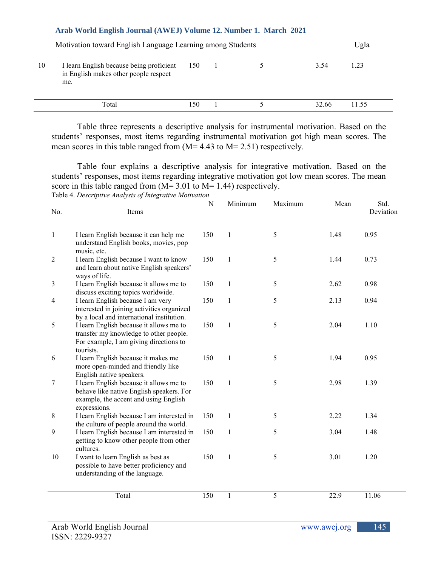|    | Motivation toward English Language Learning among Students                               |     |  |  |       |       |  |
|----|------------------------------------------------------------------------------------------|-----|--|--|-------|-------|--|
| 10 | I learn English because being proficient<br>in English makes other people respect<br>me. | 150 |  |  | 3.54  | 1.23  |  |
|    | Total                                                                                    | 150 |  |  | 32.66 | 11.55 |  |

 Table three represents a descriptive analysis for instrumental motivation. Based on the students' responses, most items regarding instrumental motivation got high mean scores. The mean scores in this table ranged from (M= 4.43 to M= 2.51) respectively.

 Table four explains a descriptive analysis for integrative motivation. Based on the students' responses, most items regarding integrative motivation got low mean scores. The mean score in this table ranged from  $(M= 3.01$  to  $M= 1.44$ ) respectively. Table 4. *Descriptive Analysis of Integrative Motivation*

| No.            | Items                                                                                                                                        | ${\bf N}$ | Minimum      | Maximum    | Mean | Std.<br>Deviation |
|----------------|----------------------------------------------------------------------------------------------------------------------------------------------|-----------|--------------|------------|------|-------------------|
|                |                                                                                                                                              |           |              |            |      |                   |
| $\mathbf{1}$   | I learn English because it can help me<br>understand English books, movies, pop<br>music, etc.                                               | 150       | $\mathbf{1}$ | 5          | 1.48 | 0.95              |
| $\overline{2}$ | I learn English because I want to know<br>and learn about native English speakers'<br>ways of life.                                          | 150       | $\mathbf{1}$ | 5          | 1.44 | 0.73              |
| 3              | I learn English because it allows me to<br>discuss exciting topics worldwide.                                                                | 150       | $\mathbf{1}$ | 5          | 2.62 | 0.98              |
| 4              | I learn English because I am very<br>interested in joining activities organized<br>by a local and international institution.                 | 150       | $\mathbf{1}$ | 5          | 2.13 | 0.94              |
| 5              | I learn English because it allows me to<br>transfer my knowledge to other people.<br>For example, I am giving directions to<br>tourists.     | 150       | $\mathbf{1}$ | 5          | 2.04 | 1.10              |
| 6              | I learn English because it makes me<br>more open-minded and friendly like<br>English native speakers.                                        | 150       | $\mathbf{1}$ | 5          | 1.94 | 0.95              |
| 7              | I learn English because it allows me to<br>behave like native English speakers. For<br>example, the accent and using English<br>expressions. | 150       | $\mathbf{1}$ | 5          | 2.98 | 1.39              |
| 8              | I learn English because I am interested in<br>the culture of people around the world.                                                        | 150       | 1            | 5          | 2.22 | 1.34              |
| 9              | I learn English because I am interested in<br>getting to know other people from other<br>cultures.                                           | 150       | $\mathbf{1}$ | 5          | 3.04 | 1.48              |
| 10             | I want to learn English as best as<br>possible to have better proficiency and<br>understanding of the language.                              | 150       | $\mathbf{1}$ | 5          | 3.01 | 1.20              |
|                | Total                                                                                                                                        | 150       |              | $\sqrt{5}$ | 22.9 | 11.06             |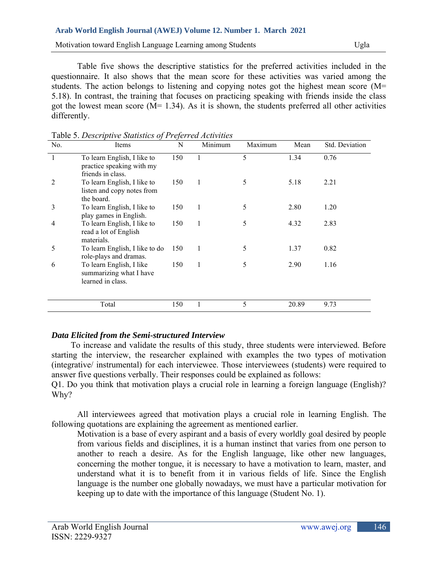Motivation toward English Language Learning among Students Ugla

Table five shows the descriptive statistics for the preferred activities included in the questionnaire. It also shows that the mean score for these activities was varied among the students. The action belongs to listening and copying notes got the highest mean score (M= 5.18). In contrast, the training that focuses on practicing speaking with friends inside the class got the lowest mean score  $(M= 1.34)$ . As it is shown, the students preferred all other activities differently.

| No.            | Items                                                                         | N   | Minimum | Maximum | Mean  | Std. Deviation |
|----------------|-------------------------------------------------------------------------------|-----|---------|---------|-------|----------------|
|                | To learn English, I like to<br>practice speaking with my<br>friends in class. | 150 |         | 5       | 1.34  | 0.76           |
| $\overline{2}$ | To learn English, I like to<br>listen and copy notes from<br>the board.       | 150 | 1       | 5       | 5.18  | 2.21           |
| 3              | To learn English, I like to<br>play games in English.                         | 150 | 1       | 5       | 2.80  | 1.20           |
| 4              | To learn English, I like to<br>read a lot of English<br>materials.            | 150 | 1       | 5       | 4.32  | 2.83           |
| 5              | To learn English, I like to do<br>role-plays and dramas.                      | 150 | 1       | 5       | 1.37  | 0.82           |
| 6              | To learn English, I like<br>summarizing what I have<br>learned in class.      | 150 | 1       | 5       | 2.90  | 1.16           |
|                | Total                                                                         | 150 |         | 5       | 20.89 | 9.73           |

Table 5. *Descriptive Statistics of Preferred Activities*

# *Data Elicited from the Semi-structured Interview*

 To increase and validate the results of this study, three students were interviewed. Before starting the interview, the researcher explained with examples the two types of motivation (integrative/ instrumental) for each interviewee. Those interviewees (students) were required to answer five questions verbally. Their responses could be explained as follows:

Q1. Do you think that motivation plays a crucial role in learning a foreign language (English)? Why?

 All interviewees agreed that motivation plays a crucial role in learning English. The following quotations are explaining the agreement as mentioned earlier.

Motivation is a base of every aspirant and a basis of every worldly goal desired by people from various fields and disciplines, it is a human instinct that varies from one person to another to reach a desire. As for the English language, like other new languages, concerning the mother tongue, it is necessary to have a motivation to learn, master, and understand what it is to benefit from it in various fields of life. Since the English language is the number one globally nowadays, we must have a particular motivation for keeping up to date with the importance of this language (Student No. 1).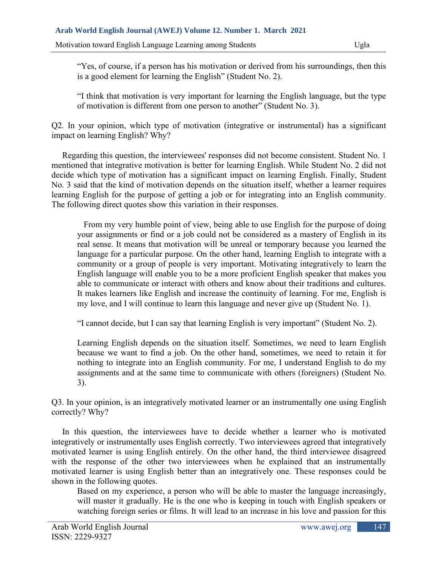"Yes, of course, if a person has his motivation or derived from his surroundings, then this is a good element for learning the English" (Student No. 2).

"I think that motivation is very important for learning the English language, but the type of motivation is different from one person to another" (Student No. 3).

Q2. In your opinion, which type of motivation (integrative or instrumental) has a significant impact on learning English? Why?

 Regarding this question, the interviewees' responses did not become consistent. Student No. 1 mentioned that integrative motivation is better for learning English. While Student No. 2 did not decide which type of motivation has a significant impact on learning English. Finally, Student No. 3 said that the kind of motivation depends on the situation itself, whether a learner requires learning English for the purpose of getting a job or for integrating into an English community. The following direct quotes show this variation in their responses.

 From my very humble point of view, being able to use English for the purpose of doing your assignments or find or a job could not be considered as a mastery of English in its real sense. It means that motivation will be unreal or temporary because you learned the language for a particular purpose. On the other hand, learning English to integrate with a community or a group of people is very important. Motivating integratively to learn the English language will enable you to be a more proficient English speaker that makes you able to communicate or interact with others and know about their traditions and cultures. It makes learners like English and increase the continuity of learning. For me, English is my love, and I will continue to learn this language and never give up (Student No. 1).

"I cannot decide, but I can say that learning English is very important" (Student No. 2).

Learning English depends on the situation itself. Sometimes, we need to learn English because we want to find a job. On the other hand, sometimes, we need to retain it for nothing to integrate into an English community. For me, I understand English to do my assignments and at the same time to communicate with others (foreigners) (Student No. 3).

Q3. In your opinion, is an integratively motivated learner or an instrumentally one using English correctly? Why?

 In this question, the interviewees have to decide whether a learner who is motivated integratively or instrumentally uses English correctly. Two interviewees agreed that integratively motivated learner is using English entirely. On the other hand, the third interviewee disagreed with the response of the other two interviewees when he explained that an instrumentally motivated learner is using English better than an integratively one. These responses could be shown in the following quotes.

Based on my experience, a person who will be able to master the language increasingly, will master it gradually. He is the one who is keeping in touch with English speakers or watching foreign series or films. It will lead to an increase in his love and passion for this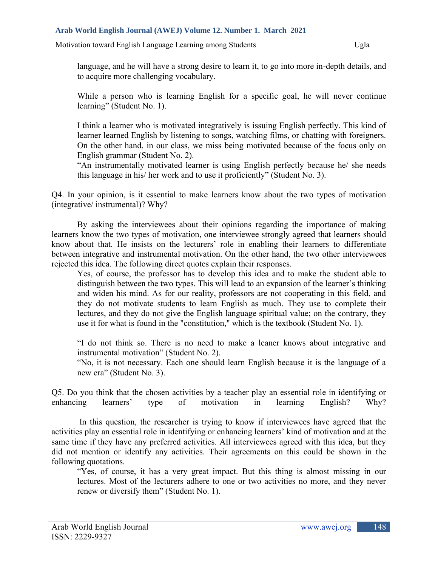language, and he will have a strong desire to learn it, to go into more in-depth details, and to acquire more challenging vocabulary.

While a person who is learning English for a specific goal, he will never continue learning" (Student No. 1).

I think a learner who is motivated integratively is issuing English perfectly. This kind of learner learned English by listening to songs, watching films, or chatting with foreigners. On the other hand, in our class, we miss being motivated because of the focus only on English grammar (Student No. 2).

"An instrumentally motivated learner is using English perfectly because he/ she needs this language in his/ her work and to use it proficiently" (Student No. 3).

Q4. In your opinion, is it essential to make learners know about the two types of motivation (integrative/ instrumental)? Why?

 By asking the interviewees about their opinions regarding the importance of making learners know the two types of motivation, one interviewee strongly agreed that learners should know about that. He insists on the lecturers' role in enabling their learners to differentiate between integrative and instrumental motivation. On the other hand, the two other interviewees rejected this idea. The following direct quotes explain their responses.

Yes, of course, the professor has to develop this idea and to make the student able to distinguish between the two types. This will lead to an expansion of the learner's thinking and widen his mind. As for our reality, professors are not cooperating in this field, and they do not motivate students to learn English as much. They use to complete their lectures, and they do not give the English language spiritual value; on the contrary, they use it for what is found in the "constitution," which is the textbook (Student No. 1).

"I do not think so. There is no need to make a leaner knows about integrative and instrumental motivation" (Student No. 2).

"No, it is not necessary. Each one should learn English because it is the language of a new era" (Student No. 3).

Q5. Do you think that the chosen activities by a teacher play an essential role in identifying or enhancing learners' type of motivation in learning English? Why?

 In this question, the researcher is trying to know if interviewees have agreed that the activities play an essential role in identifying or enhancing learners' kind of motivation and at the same time if they have any preferred activities. All interviewees agreed with this idea, but they did not mention or identify any activities. Their agreements on this could be shown in the following quotations.

"Yes, of course, it has a very great impact. But this thing is almost missing in our lectures. Most of the lecturers adhere to one or two activities no more, and they never renew or diversify them" (Student No. 1).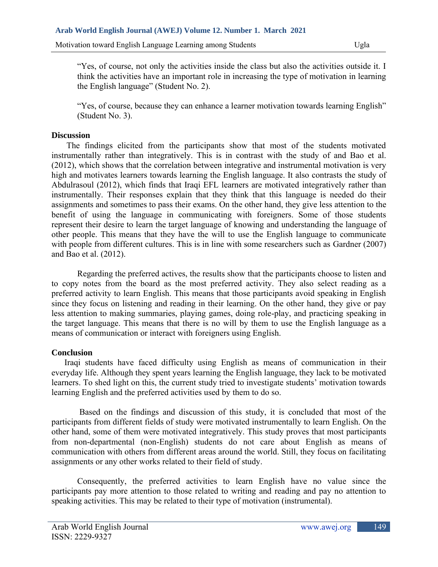"Yes, of course, not only the activities inside the class but also the activities outside it. I think the activities have an important role in increasing the type of motivation in learning the English language" (Student No. 2).

"Yes, of course, because they can enhance a learner motivation towards learning English" (Student No. 3).

#### **Discussion**

 The findings elicited from the participants show that most of the students motivated instrumentally rather than integratively. This is in contrast with the study of and Bao et al. (2012), which shows that the correlation between integrative and instrumental motivation is very high and motivates learners towards learning the English language. It also contrasts the study of Abdulrasoul (2012), which finds that Iraqi EFL learners are motivated integratively rather than instrumentally. Their responses explain that they think that this language is needed do their assignments and sometimes to pass their exams. On the other hand, they give less attention to the benefit of using the language in communicating with foreigners. Some of those students represent their desire to learn the target language of knowing and understanding the language of other people. This means that they have the will to use the English language to communicate with people from different cultures. This is in line with some researchers such as Gardner (2007) and Bao et al. (2012).

 Regarding the preferred actives, the results show that the participants choose to listen and to copy notes from the board as the most preferred activity. They also select reading as a preferred activity to learn English. This means that those participants avoid speaking in English since they focus on listening and reading in their learning. On the other hand, they give or pay less attention to making summaries, playing games, doing role-play, and practicing speaking in the target language. This means that there is no will by them to use the English language as a means of communication or interact with foreigners using English.

### **Conclusion**

 Iraqi students have faced difficulty using English as means of communication in their everyday life. Although they spent years learning the English language, they lack to be motivated learners. To shed light on this, the current study tried to investigate students' motivation towards learning English and the preferred activities used by them to do so.

 Based on the findings and discussion of this study, it is concluded that most of the participants from different fields of study were motivated instrumentally to learn English. On the other hand, some of them were motivated integratively. This study proves that most participants from non-departmental (non-English) students do not care about English as means of communication with others from different areas around the world. Still, they focus on facilitating assignments or any other works related to their field of study.

 Consequently, the preferred activities to learn English have no value since the participants pay more attention to those related to writing and reading and pay no attention to speaking activities. This may be related to their type of motivation (instrumental).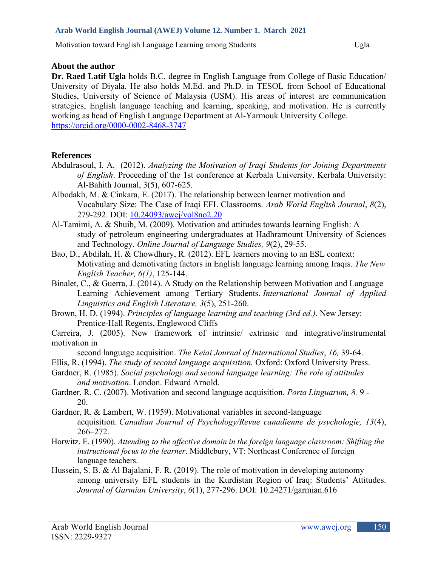#### **About the author**

**Dr. Raed Latif Ugla** holds B.C. degree in English Language from College of Basic Education/ University of Diyala. He also holds M.Ed. and Ph.D. in TESOL from School of Educational Studies, University of Science of Malaysia (USM). His areas of interest are communication strategies, English language teaching and learning, speaking, and motivation. He is currently working as head of English Language Department at Al-Yarmouk University College. <https://orcid.org/0000-0002-8468-3747>

### **References**

- Abdulrasoul, I. A. (2012). *Analyzing the Motivation of Iraqi Students for Joining Departments of English*. Proceeding of the 1st conference at Kerbala University. Kerbala University: Al-Bahith Journal, 3(5), 607-625.
- Albodakh, M. & Cinkara, E. (2017). The relationship between learner motivation and Vocabulary Size: The Case of Iraqi EFL Classrooms. *Arab World English Journal*, *8*(2), 279-292. DOI: [10.24093/awej/vol8no2.20](https://www.researchgate.net/deref/http%3A%2F%2Fdx.doi.org%2F10.24093%2Fawej%2Fvol8no2.20?_sg%5B0%5D=g4ZAy0DoLC1Gy9377yEJXFqmG5-ZMydOKlafb0XyV2hHK3F2OXBCccfKbkyquUKEGBS70AC-UaZZQP2qJ-pFG-jjpg.NPvH-bHTnQ0fvoK-iYPkPbMOQYELwObRHtQU5qBNoCOBZr2wOr01H2MYisv36nPEr7_3CKXKMh8NFk-p30G_-A)
- Al-Tamimi, A. & Shuib, M. (2009). Motivation and attitudes towards learning English: A study of petroleum engineering undergraduates at Hadhramount University of Sciences and Technology. *Online Journal of Language Studies, 9*(2), 29-55.
- Bao, D., Abdilah, H. & Chowdhury, R. (2012). EFL learners moving to an ESL context: Motivating and demotivating factors in English language learning among Iraqis. *The New English Teacher, 6(1)*, 125-144.
- Binalet, C., & Guerra, J. (2014). A Study on the Relationship between Motivation and Language Learning Achievement among Tertiary Students. *International Journal of Applied Linguistics and English Literature, 3*(5), 251-260.
- Brown, H. D. (1994). *Principles of language learning and teaching (3rd ed.)*. New Jersey: Prentice-Hall Regents, Englewood Cliffs
- Carreira, J. (2005). New framework of intrinsic/ extrinsic and integrative/instrumental motivation in
- second language acquisition. *The Keiai Journal of International Studies*, *16,* 39-64.
- Ellis, R. (1994). *The study of second language acquisition.* Oxford: Oxford University Press.
- Gardner, R. (1985). *Social psychology and second language learning: The role of attitudes and motivation*. London. Edward Arnold.
- Gardner, R. C. (2007). Motivation and second language acquisition. *Porta Linguarum, 8,* 9 20.
- Gardner, R. & Lambert, W. (1959). Motivational variables in second-language acquisition. *Canadian Journal of Psychology/Revue canadienne de psychologie, 13*(4), 266–272.
- Horwitz, E. (1990). *Attending to the affective domain in the foreign language classroom: Shifting the instructional focus to the learner*. Middlebury, VT: Northeast Conference of foreign language teachers.
- Hussein, S. B. & Al Bajalani, F. R. (2019). The role of motivation in developing autonomy among university EFL students in the Kurdistan Region of Iraq: Students' Attitudes. *Journal of Garmian University*, *6*(1), 277-296. DOI: [10.24271/garmian.616](https://www.researchgate.net/deref/http%3A%2F%2Fdx.doi.org%2F10.24271%2Fgarmian.616?_sg%5B0%5D=8QE8m1BlaooQlQJNzAovMB4unLPCT0hU9hGCPIKaLWN-UPRgt_cEVE1MPNe9dqOIwJjx8gUmhc7_cUFGf1EwfG6MiA.7xkh_Mrh7ykvJqxgSPOFecKmOof_Z4v7nKGa-c_uoRR3HVKHSaBBsTWX93G6doG9z1mI0SYegkmJhtv1m3bLrg)